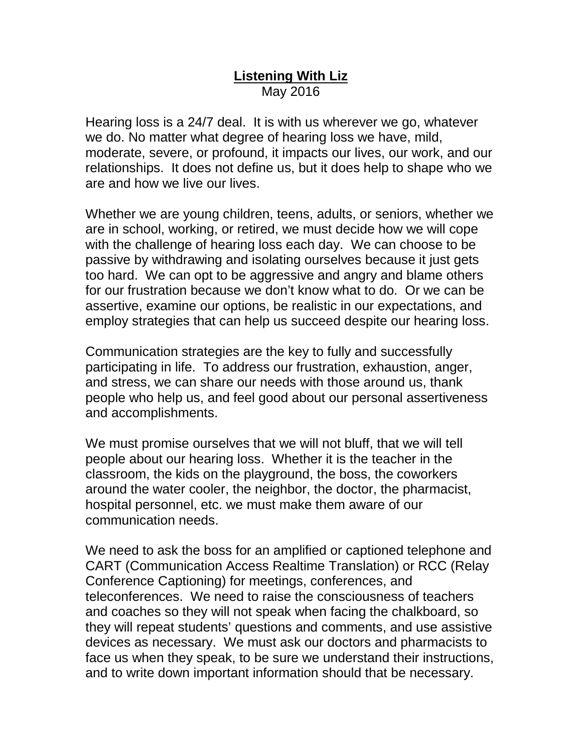## **Listening With Liz** May 2016

Hearing loss is a 24/7 deal. It is with us wherever we go, whatever we do. No matter what degree of hearing loss we have, mild, moderate, severe, or profound, it impacts our lives, our work, and our relationships. It does not define us, but it does help to shape who we are and how we live our lives.

Whether we are young children, teens, adults, or seniors, whether we are in school, working, or retired, we must decide how we will cope with the challenge of hearing loss each day. We can choose to be passive by withdrawing and isolating ourselves because it just gets too hard. We can opt to be aggressive and angry and blame others for our frustration because we don't know what to do. Or we can be assertive, examine our options, be realistic in our expectations, and employ strategies that can help us succeed despite our hearing loss.

Communication strategies are the key to fully and successfully participating in life. To address our frustration, exhaustion, anger, and stress, we can share our needs with those around us, thank people who help us, and feel good about our personal assertiveness and accomplishments.

We must promise ourselves that we will not bluff, that we will tell people about our hearing loss. Whether it is the teacher in the classroom, the kids on the playground, the boss, the coworkers around the water cooler, the neighbor, the doctor, the pharmacist, hospital personnel, etc. we must make them aware of our communication needs.

We need to ask the boss for an amplified or captioned telephone and CART (Communication Access Realtime Translation) or RCC (Relay Conference Captioning) for meetings, conferences, and teleconferences. We need to raise the consciousness of teachers and coaches so they will not speak when facing the chalkboard, so they will repeat students' questions and comments, and use assistive devices as necessary. We must ask our doctors and pharmacists to face us when they speak, to be sure we understand their instructions, and to write down important information should that be necessary.